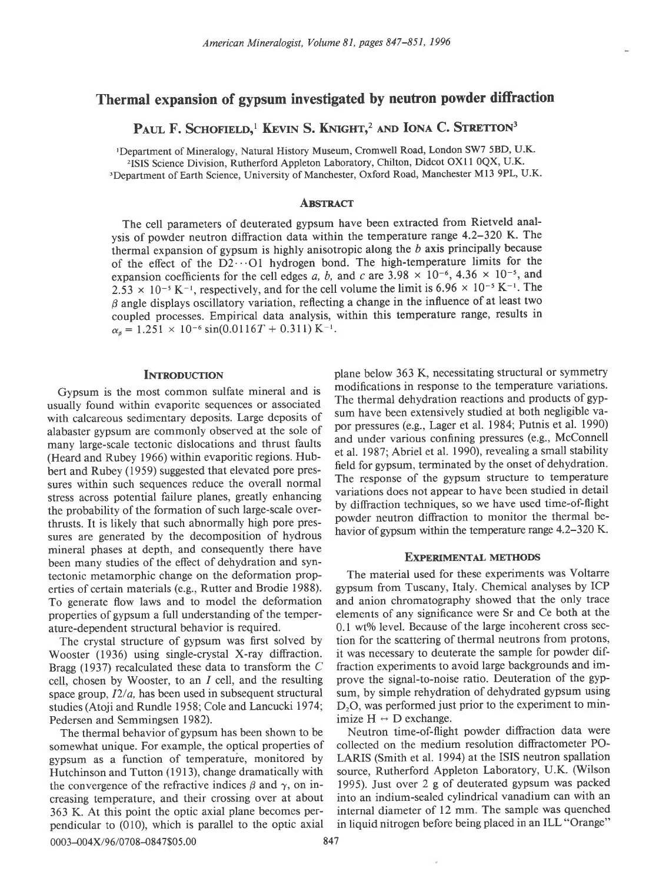# Thermal expansion of gypsum investigated by neutron powder diffraction

## PAUL F. SCHOFIELD,<sup>1</sup> KEVIN S. KNIGHT,<sup>2</sup> AND IONA C. STRETTON<sup>3</sup>

rDepartment of Mineralogy, Natural History Museum, Cromwell Road, London SW7 5BD, U.K. <sup>2</sup>ISIS Science Division, Rutherford Appleton Laboratory, Chilton, Didcot OX11 0QX, U.K.

3Department of Earth Science, University of Manchester, Oxford Road, Manchester Ml3 9PL, U.K.

#### **ABSTRACT**

The cell parameters of deuterated gypsum have been extracted from Rietveld analysis of powder neutron diffraction data within the temperature range 4.2-320 K. The thermal expansion of gypsum is highly anisotropic along the  $b$  axis principally because of the effect of the D2...Ol hydrogen bond. The high-temperature limits for the expansion coefficients for the cell edges a, b, and c are 3.98  $\times$  10<sup>-6</sup>, 4.36  $\times$  10<sup>-5</sup>, and 2.53  $\times$  10<sup>-5</sup> K<sup>-1</sup>, respectively, and for the cell volume the limit is 6.96  $\times$  10<sup>-5</sup> K<sup>-1</sup>. The  $\beta$  angle displays oscillatory variation, reflecting a change in the influence of at least two coupled processes. Empirical data analysis, within this temperature range, results in  $\alpha_{\beta} = 1.251 \times 10^{-6} \sin(0.0116T + 0.311) \text{ K}^{-1}.$ 

### **INTRODUCTION**

Gypsum is the most common sulfate mineral and is usually found within evaporite sequences or associated with calcareous sedimentary deposits. Large deposits of alabaster gypsum are commonly observed at the sole of many large-scale tectonic dislocations and thrust faults (Heard and Rubey 1966) within evaporitic regions. Hubbert and Rubey (1959) suggested that elevated pore pressures within such sequences reduce the overall normal stress across potential failure planes, greatly enhancing the probability of the formation of such large-scale overthrusts. It is likely that such abnormally high pore pressures are generated by the decomposition of hydrous mineral phases at depth, and consequently there have been many studies of the effect of dehydration and syntectonic metamorphic change on the deformation properties of certain materials (e.g., Rutter and Brodie 1988). To generate flow laws and to model the deformation properties of gypsum a full understanding of the temperature-dependent structural behavior is required.

The crystal structure of gypsum was first solved by Wooster (1936) using single-crystal X-ray diffraction. Bragg (1937) recalculated these data to transform the C cell, chosen by Wooster, to an  $I$  cell, and the resulting space group,  $I2/a$ , has been used in subsequent structural studies (Atoji and Rundle 1958; Cole and Lancucki 1974; Pedersen and Semmingsen 1982).

gypsum as a function of temperature, monitored by 363 K. At this point the optic axial plane becomes per-<br>pendicular to (010), which is parallel to the optic axial in liquid nitrogen before being placed in an ILL "Orange" pendicular to  $(010)$ , which is parallel to the optic axial 0003-004X/96/0708-0847\$05.00 847

plane below 363 K, necessitating structural or symmetry modifications in response to the temperature variations. The thermal dehydration reactions and products of gypsum have been extensively studied at both negligible vapor pressures (e.g., Lager et al. 1984; Putnis et al. 1990) and under various confining pressures (e.g., McConnell et al. 1987; Abriel et al. 1990), revealing a small stability field for gypsum, terminated by the onset of dehydration. The response of the gypsum structure to temperature variations does not appear to have been studied in detail by diffraction techniques, so we have used time-of-flight powder neutron diffraction to monitor the thermal behavior of gypsum within the temperature range 4.2-320 K.

#### EXPERIMENTAL METHODS

The material used for these experiments was Voltarre gypsum from Tuscany, Italy. Chemical analyses by ICP and anion chromatography showed that the only trace elements of any significance were Sr and Ce both at the  $0.1$  wt% level. Because of the large incoherent cross section for the scattering of thermal neutrons from protons, it was necessary to deuterate the sample for powder diffraction experiments to avoid large backgrounds and improve the signal-to-noise ratio. Deuteration of the gypsum, by simple rehydration of dehydrated gypsum using  $D<sub>2</sub>O$ , was performed just prior to the experiment to minimize  $H \leftrightarrow D$  exchange.<br>Neutron time-of-flight powder diffraction data were

The thermal behavior of gypsum has been shown to be<br>mewhat unique. For example, the optical properties of collected on the medium resolution diffractometer POsomewhat unique. For example, the optical properties of collected on the medium resolution diffractometer PO-<br>gypsum as a function of temperature, monitored by LARIS (Smith et al. 1994) at the ISIS neutron spallation Hutchinson and Tutton (1913), change dramatically with source, Rutherford Appleton Laboratory, U.K. (Wilson the convergence of the refractive indices  $\beta$  and  $\gamma$ , on in- 1995). Just over 2 g of deuterated gypsum was packed creasing temperature, and their crossing over at about into an indium-sealed cylindrical vanadium can with an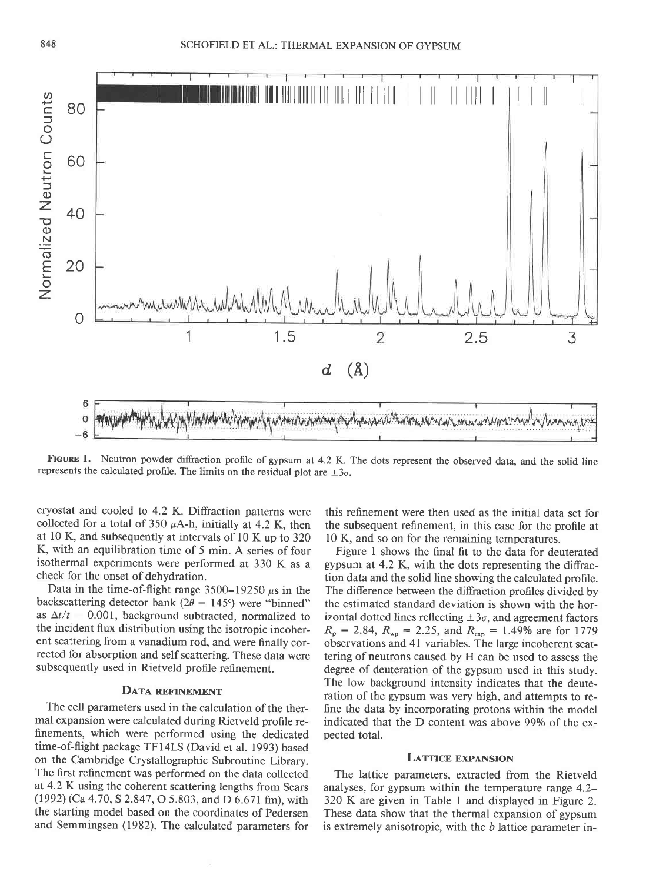

FIGURE 1. Neutron powder diffraction profile of gypsum at 4.2 K. The dots represent the observed data, and the solid line represents the calculated profile. The limits on the residual plot are  $\pm 3\sigma$ .

cryostat and cooled to 4.2 K. Diffraction patterns were collected for a total of 350  $\mu$ A-h, initially at 4.2 K, then at l0 K, and subsequently at intervals of l0 K up to 320 K, with an equilibration time of 5 min. A series of four isothermal experiments were performed at 330 K as a check for the onset of dehydration.

Data in the time-of-flight range  $3500-19250 \mu s$  in the backscattering detector bank ( $2\theta = 145^{\circ}$ ) were "binned" as  $\Delta t/t = 0.001$ , background subtracted, normalized to the incident flux distribution using the isotropic incoherent scattering from a vanadium rod, and were finally corrected for absorption and self scattering. These data were subsequently used in Rietveld profile refinement.

## DATA REFINEMENT

The cell parameters used in the calculation of the thermal expansion were calculated during Rietveld profile refinements, which were performed using the dedicated time-of-flight package TFI4LS (David et al. 1993) based on the Cambridge Crystallographic Subroutine Library. The first refinement was performed on the data collected at 4.2 K using the coherent scattering lengths from Sears (1992) (Ca 4.70,5 2.847, O 5.803, and D 6.671 fm), with the starting model based on the coordinates of Pedersen and Semmingsen (1982). The calculated parameters for

this refinement were then used as the initial data set for the subsequent refinement, in this case for the profile at l0 K, and so on for the remaining temperatures.

Figure I shows the final fit to the data for deuterated gypsum at 4.2 K, with the dots representing the diffraction data and the solid line showing the calculated profile. The difference between the difraction profiles divided by the estimated standard deviation is shown with the horizontal dotted lines reflecting  $\pm 3\sigma$ , and agreement factors  $R_p = 2.84$ ,  $R_{wp} = 2.25$ , and  $R_{exp} = 1.49\%$  are for 1779 observations and 4l variables. The large incoherent scattering of neutrons caused by H can be used to assess the degree of deuteration of the gypsum used in this study. The low background intensity indicates that the deuteration of the gypsum was very high, and attempts to refine the data by incorporating protons within the model indicated that the D content was above 99% of the expected total.

#### LATTICE EXPANSION

The lattice parameters, extracted from the Rietveld analyses, for gypsum within the temperature range 4.2- 320 K are given in Table 1 and displayed in Figure 2. These data show that the thermal expansion of gypsum is extremely anisotropic, with the  $b$  lattice parameter in-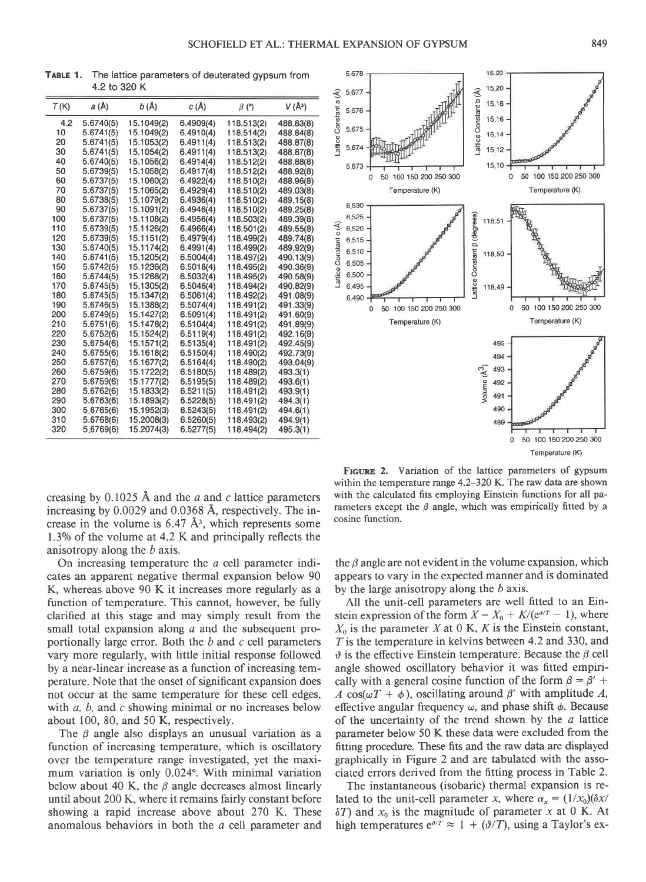TABLE 1, The lattice parameters of deuterated gypsum from 4.2 to 320 K

| T(K) | a (Å)     | b (Å)      | c(A)      | $\beta$ (°) | $V(\AA^3)$ |
|------|-----------|------------|-----------|-------------|------------|
| 4.2  | 5.6740(5) | 15.1049(2) | 6.4909(4) | 118.513(2)  | 488.83(8)  |
| 10   | 5.6741(5) | 15.1049(2) | 6.4910(4) | 118.514(2)  | 488.84(8)  |
| 20   | 5.6741(5) | 15.1053(2) | 6.4911(4) | 118.513(2)  | 488.87(8)  |
| 30   | 5.6741(5) | 15.1054(2) | 6.4911(4) | 118.513(2)  | 488.87(8)  |
| 40   | 5.6740(5) | 15.1056(2) | 6.4914(4) | 118.512(2)  | 488.88(8)  |
| 50   | 5.6739(5) | 15.1058(2) | 6.4917(4) | 118.512(2)  | 488.92(8)  |
| 60   | 5.6737(5) | 15.1060(2) | 6.4922(4) | 118.510(2)  | 488.96(8)  |
| 70   | 5.6737(5) | 15.1065(2) | 6.4929(4) | 118.510(2)  | 489.03(8)  |
| 80   | 5.6738(5) | 15.1079(2) | 6.4936(4) | 118.510(2)  | 489.15(8)  |
| 90   | 5.6737(5) | 15.1091(2) | 6.4946(4) | 118.510(2)  | 489.25(8)  |
| 100  | 5.6737(5) | 15.1108(2) | 6.4956(4) | 118.503(2)  | 489.39(8)  |
| 110  | 5.6739(5) | 15.1126(2) | 6.4966(4) | 118.501(2)  | 489.55(8)  |
| 120  | 5.6739(5) | 15.1151(2) | 6.4979(4) | 118.499(2)  | 489.74(8)  |
| 130  | 5.6740(5) | 15.1174(2) | 6.4991(4) | 118.499(2)  | 489.92(9)  |
| 140  | 5.6741(5) | 15.1205(2) | 6.5004(4) | 118.497(2)  | 490.13(9)  |
| 150  | 5.6742(5) | 15.1236(2) | 6.5018(4) | 118.495(2)  | 490.36(9)  |
| 160  | 5.6744(5) | 15.1268(2) | 6.5032(4) | 118.495(2)  | 490.58(9)  |
| 170  | 5.6745(5) | 15.1305(2) | 6.5046(4) | 118.494(2)  | 490.82(9)  |
| 180  | 5.6745(5) | 15.1347(2) | 6.5061(4) | 118.492(2)  | 491.08(9)  |
| 190  | 5.6746(5) | 15.1388(2) | 6.5074(4) | 118.491(2)  | 491.33(9)  |
| 200  | 5.6749(5) | 15.1427(2) | 6.5091(4) | 118.491(2)  | 491.60(9)  |
| 210  | 5.6751(6) | 15.1478(2) | 6.5104(4) | 118.491(2)  | 491.89(9)  |
| 220  | 5.6752(6) | 15.1524(2) | 6.5119(4) | 118.491(2)  | 492.16(9)  |
| 230  | 5.6754(6) | 15.1571(2) | 6.5135(4) | 118.491(2)  | 492.45(9)  |
| 240  | 5.6755(6) | 15.1618(2) | 6.5150(4) | 118.490(2)  | 492.73(9)  |
| 250  | 5.6757(6) | 15.1677(2) | 6.5164(4) | 118.490(2)  | 493.04(9)  |
| 260  | 5.6759(6) | 15.1722(2) | 6.5180(5) | 118.489(2)  | 493.3(1)   |
| 270  | 5.6759(6) | 15.1777(2) | 6.5195(5) | 118.489(2)  | 493.6(1)   |
| 280  | 5.6762(6) | 15.1833(2) | 6.5211(5) | 118.491(2)  | 493.9(1)   |
| 290  | 5.6763(6) | 15.1893(2) | 6.5228(5) | 118.491(2)  | 494.3(1)   |
| 300  | 5.6765(6) | 15.1952(3) | 6.5243(5) | 118.491(2)  | 494.6(1)   |
| 310  | 5.6768(6) | 15.2008(3) | 6.5260(5) | 118.493(2)  | 494.9(1)   |
| 320  | 5.6769(6) | 15.2074(3) | 6.5277(5) | 118.494(2)  | 495.3(1)   |



creasing by  $0.1025$  Å and the *a* and *c* lattice parameters increasing by 0.0029 and 0.0368 A, respectively. The increase in the volume is  $6.47 \text{ Å}^3$ , which represents some 1.3% of the volume at 4.2 K and principally reflects the anisotropy along the b axis.

On increasing temperature the a cell parameter indicates an apparent negative thermal expansion below 90 K, whereas above 90 K it increases more regularly as a function of temperature. This cannot, however, be fully clarified at this stage and may simply result from the small total expansion along a and the subsequent proportionally large error. Both the  $b$  and  $c$  cell parameters vary more regularly, with little initial response followed by a near-linear increase as a function of increasing temperature. Note that the onset of significant expansion does not occur at the same temperature for these cell edges, with  $a$ ,  $b$ , and  $c$  showing minimal or no increases below about 100, 80, and 50 K, respectively.

The  $\beta$  angle also displays an unusual variation as a function of increasing temperature, which is oscillatory over the temperature range investigated, yet the maximum variation is only 0.024. With minimal variation below about 40 K, the  $\beta$  angle decreases almost linearly until about 200 K, where it remains fairly constant before showing a rapid increase above about 270 K. These anomalous behaviors in both the a cell parameter and

FIGURE 2. Variation of the lattice parameters of gypsum within the temperature range 4.2–320 K. The raw data are shown with the calculated fits employing Einstein functions for all parameters except the  $\beta$  angle, which was empirically fitted by a cosine function.

the  $\beta$  angle are not evident in the volume expansion, which appears to vary in the expected manner and is dominated by the large anisotropy along the  $b$  axis.

All the unit-cell parameters are well fitted to an Einstein expression of the form  $X = X_0 + K/(e^{i\theta/T} - 1)$ , where  $X_0$  is the parameter X at 0 K, K is the Einstein constant,  $T$  is the temperature in kelvins between 4.2 and 330, and  $\vartheta$  is the effective Einstein temperature. Because the  $\beta$  cell angle showed oscillatory behavior it was fitted empirically with a general cosine function of the form  $\beta = \beta' +$ A cos( $\omega T + \phi$ ), oscillating around  $\beta'$  with amplitude A, effective angular frequency  $\omega$ , and phase shift  $\phi$ . Because of the uncertainty of the trend shown by the  $a$  lattice parameter below 50 K these data were excluded from the fitting procedure. These fits and the raw data are displayed graphically in Figure 2 and are tabulated with the associated errors derived from the fitting process in Table 2.

The instantaneous (isobaric) thermal expansion is related to the unit-cell parameter x, where  $\alpha_x = (1/x_0)(\delta x)$  $\delta T$ ) and  $x_0$  is the magnitude of parameter x at 0 K. At high temperatures  $e^{\theta/T} \approx 1 + (\theta/T)$ , using a Taylor's ex-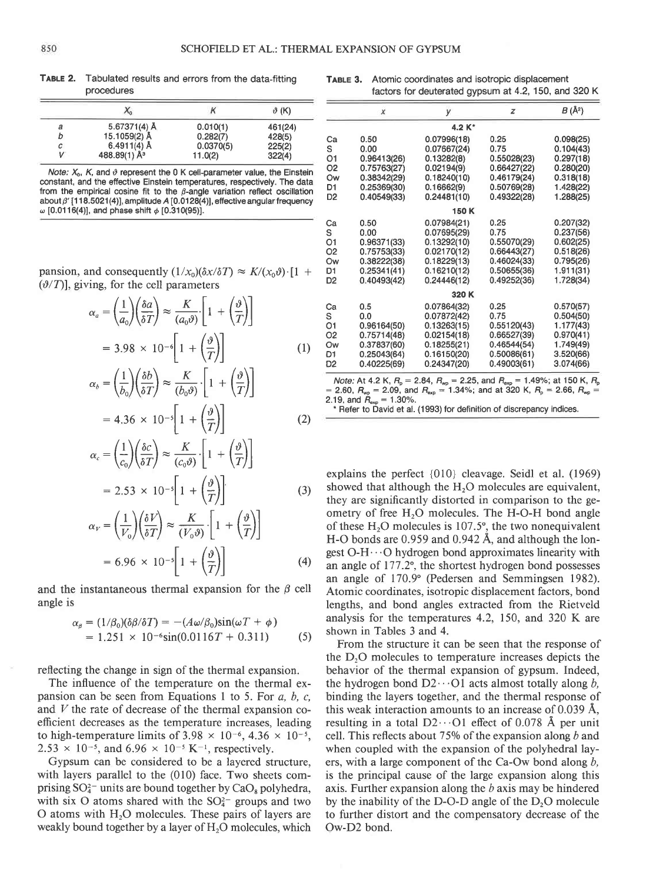| TABLE 2. | Tabulated results and errors from the data-fitting |  |  |
|----------|----------------------------------------------------|--|--|
|          | procedures                                         |  |  |

|   | Λö              |           | $\vartheta$ (K) |
|---|-----------------|-----------|-----------------|
| а | 5.67371(4) Å    | 0.010(1)  | 461(24)         |
| b | 15.1059(2) Å    | 0.282(7)  | 428(5)          |
| с | 6.4911(4) Å     | 0.0370(5) | 225(2)          |
| v | 488.89(1) $A^3$ | 11.0(2)   | 322(4)          |

Note:  $X_0$ , K, and  $\vartheta$  represent the 0 K cell-parameter value, the Einstein constant, and the effective Einstein temperatures, respectively. The data from the empirical cosine fit to the  $\beta$ -angle variation reflect oscillation about  $\beta'$  [118.5021(4)], amplitude A [0.0128(4)], effective angular frequency  $\omega$  [0.0116(4)], and phase shift  $\phi$  [0.310(95)].

pansion, and consequently  $(1/x_0)(\delta x/\delta T) \approx K/(x_0 \vartheta) \cdot [1 +$ 

$$
(\vartheta/T)], \text{ giving, for the cell parameters}
$$

$$
\alpha_a = \left(\frac{1}{a_0}\right) \left(\frac{\delta a}{\delta T}\right) \approx \frac{K}{(a_0 \vartheta)} \left[1 + \left(\frac{\vartheta}{T}\right)\right]
$$

$$
= 3.98 \times 10^{-6} \left[1 + \left(\frac{\vartheta}{T}\right)\right]
$$
(1)

$$
\alpha_b = \left(\frac{1}{b_0}\right) \left(\frac{\delta b}{\delta T}\right) \approx \frac{K}{(b_0 \vartheta)} \cdot \left[1 + \left(\frac{\vartheta}{T}\right)\right]
$$
  
4.36 × 10<sup>-5</sup>  $\left[1 + \left(\vartheta\right)\right]$  (3)

$$
=4.36\times10^{-5}\left[1+\left(\frac{\vartheta}{T}\right)\right]
$$
 (2)

$$
\alpha_c = \left(\frac{1}{c_0}\right) \left(\frac{\delta c}{\delta T}\right) \approx \frac{K}{(c_0 \vartheta)} \cdot \left[1 + \left(\frac{\vartheta}{T}\right)\right]
$$

$$
= 2.53 \times 10^{-5} \left[1 + \left(\frac{\vartheta}{T}\right)\right]
$$
(3)

$$
\alpha_V = \left(\frac{1}{V_0}\right) \left(\frac{\delta V}{\delta T}\right) \approx \frac{K}{(V_0 \vartheta)} \cdot \left[1 + \left(\frac{\vartheta}{T}\right)\right]
$$

$$
= 6.96 \times 10^{-5} \left[1 + \left(\frac{\vartheta}{T}\right)\right] \tag{4}
$$

and the instantaneous thermal expansion for the  $\beta$  cell angle is

$$
\alpha_{\beta} = (1/\beta_0)(\delta\beta/\delta T) = -(A\omega/\beta_0)\sin(\omega T + \phi)
$$
  
= 1.251 × 10<sup>-6</sup>sin(0.0116T + 0.311) (5)

reflecting the change in sign of the thermal expansion.

The influence of the temperature on the thermal expansion can be seen from Equations 1 to 5. For  $a, b, c$ , and  $V$  the rate of decrease of the thermal expansion coefficient decreases as the temperature increases, leading to high-temperature limits of  $3.98 \times 10^{-6}$ ,  $4.36 \times 10^{-5}$ ,  $2.53 \times 10^{-5}$ , and  $6.96 \times 10^{-5}$  K<sup>-1</sup>, respectively.

Gypsum can be considered to be a layered structure, with layers parallel to the (010) face. Two sheets comprising  $SO_4^{2-}$  units are bound together by  $CaO_8$  polyhedra, with six O atoms shared with the  $SO<sub>4</sub><sup>2</sup>$  groups and two O atoms with  $H_2O$  molecules. These pairs of layers are weakly bound together by a layer of  $H_2O$  molecules, which

| $\theta$ (K)               |                | x                                                                                                                                | V           | z           | $B(\AA^2)$ |  |
|----------------------------|----------------|----------------------------------------------------------------------------------------------------------------------------------|-------------|-------------|------------|--|
| 61(24)                     | 4.2 K*         |                                                                                                                                  |             |             |            |  |
| 28(5)                      | Ca             | 0.50                                                                                                                             | 0.07996(18) | 0.25        | 0.098(25)  |  |
| 25(2)                      | s              | 0.00                                                                                                                             | 0.07667(24) | 0.75        | 0.104(43)  |  |
| 22(4)                      | 01             | 0.96413(26)                                                                                                                      | 0.13282(8)  | 0.55028(23) | 0.297(18)  |  |
| e Einstein                 | O <sub>2</sub> | 0.75763(27)                                                                                                                      | 0.02194(9)  | 0.66427(22) | 0.280(20)  |  |
| . The data                 | Ow             | 0.38342(29)                                                                                                                      | 0.18240(10) | 0.46179(24) | 0.318(18)  |  |
| oscillation                | D1             | 0.25369(30)                                                                                                                      | 0.16662(9)  | 0.50769(28) | 1.428(22)  |  |
| frequency                  | D <sub>2</sub> | 0.40549(33)                                                                                                                      | 0.24481(10) | 0.49322(28) | 1.288(25)  |  |
|                            | 150 K          |                                                                                                                                  |             |             |            |  |
|                            | Сa             | 0.50                                                                                                                             | 0.07984(21) | 0.25        | 0.207(32)  |  |
|                            | s              | 0.00                                                                                                                             | 0.07695(29) | 0.75        | 0.237(56)  |  |
|                            | O1             | 0.96371(33)                                                                                                                      | 0.13292(10) | 0.55070(29) | 0.602(25)  |  |
|                            | O <sub>2</sub> | 0.75753(33)                                                                                                                      | 0.02170(12) | 0.66443(27) | 0.518(26)  |  |
|                            | Ow             | 0.38222(38)                                                                                                                      | 0.18229(13) | 0.46024(33) | 0.795(26)  |  |
| $,\vartheta)$ $\cdot$ [1 + | D <sub>1</sub> | 0.25341(41)                                                                                                                      | 0.16210(12) | 0.50655(36) | 1.911(31)  |  |
|                            | D <sub>2</sub> | 0.40493(42)                                                                                                                      | 0.24446(12) | 0.49252(36) | 1.728(34)  |  |
|                            | 320K           |                                                                                                                                  |             |             |            |  |
|                            | Сa             | 0.5                                                                                                                              | 0.07864(32) | 0.25        | 0.570(57)  |  |
|                            | s              | 0.0                                                                                                                              | 0.07872(42) | 0.75        | 0.504(50)  |  |
|                            | О1             | 0.96164(50)                                                                                                                      | 0.13263(15) | 0.55120(43) | 1.177(43)  |  |
|                            | O <sub>2</sub> | 0.75714(48)                                                                                                                      | 0.02154(18) | 0.66527(39) | 0.970(41)  |  |
| (1)                        | Ow             | 0.37837(60)                                                                                                                      | 0.18255(21) | 0.46544(54) | 1.749(49)  |  |
|                            | D1             | 0.25043(64)                                                                                                                      | 0.16150(20) | 0.50086(61) | 3.520(66)  |  |
|                            | D2             | 0.40225(69)                                                                                                                      | 0.24347(20) | 0.49003(61) | 3.074(66)  |  |
|                            |                | <i>Note:</i> At 4.2 K, $R_{\text{o}} = 2.84$ , $R_{\text{wo}} = 2.25$ , and $R_{\text{exo}} = 1.49\%$ ; at 150 K, $R_{\text{o}}$ |             |             |            |  |

*Note:* At 4.2 K,  $R_p = 2.84$ ,  $R_{wp} = 2.25$ , and  $R_{exp} = 1.49\%$ ; at 150 K,  $R = 2.60$ ,  $R_{wp} = 2.09$ , and  $R_{exp} = 1.30\%$ .<br>2.19, and  $R_{exp} = 1.30\%$ .

. Refer to David et al. (1993) for definition of discrepancy indices.

explains the perfect {010} cleavage. Seidl et al. (1969) showed that although the  $H<sub>2</sub>O$  molecules are equivalent, they are significantly distorted in comparison to the geometry of free  $H_2O$  molecules. The H-O-H bond angle of these  $H<sub>2</sub>O$  molecules is 107.5°, the two nonequivalent H-O bonds are  $0.959$  and  $0.942$  Å, and although the longest  $O-H \cdots O$  hydrogen bond approximates linearity with an angle of 177.2°, the shortest hydrogen bond possesses an angle of 170.9" (Pedersen and Semmingsen 1982). Atomic coordinates, isotropic displacement factors, bond lengths, and bond angles extracted from the Rietveld analysis for the temperatures 4.2, 150, and 320 K are shown in Tables 3 and 4.

From the structure it can be seen that the response of the  $D<sub>2</sub>O$  molecules to temperature increases depicts the behavior of the thermal expansion of gypsum. Indeed, the hydrogen bond  $D2 \cdots O1$  acts almost totally along b, binding the layers together, and the thermal response of this weak interaction amounts to an increase of 0.039 A, resulting in a total  $D2 \cdot 01$  effect of 0.078 Å per unit cell. This reflects about 75% of the expansion along  $b$  and when coupled with the expansion of the polyhedral layers, with a large component of the Ca-Ow bond along  $b$ , is the principal cause of the large expansion along this axis. Further expansion along the  $b$  axis may be hindered by the inability of the D-O-D angle of the  $D_2O$  molecule to further distort and the compensatory decrease of the Ow-D2 bond.

TABLE 3, Atomic coordinates and isotropic displacement factors for deuterated gypsum at 4.2,150, and 320 K